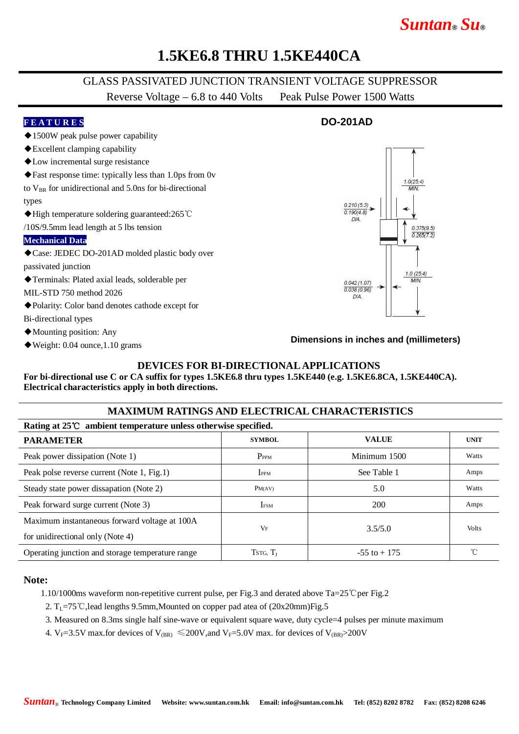# *Suntan***®** *Su***®**

### **1.5KE6.8 THRU 1.5KE440CA**

### GLASS PASSIVATED JUNCTION TRANSIENT VOLTAGE SUPPRESSOR

Reverse Voltage – 6.8 to 440 Volts Peak Pulse Power 1500 Watts

#### **F E A T U R E S DO-201AD** ◆1500W peak pulse power capability ◆Excellent clamping capability ◆Low incremental surge resistance ◆Fast response time: typically less than 1.0ps from 0v  $10(254)$ to  $V_{BR}$  for unidirectional and 5.0ns for bi-directional types  $0.210(5.3)$  $0.190(4.8)$ ◆High temperature soldering guaranteed:265℃  $\overline{DIA}$ /10S/9.5mm lead length at 5 lbs tension 0.375(9.5)  $0.265(7.2)$ **Mechanical Data** ◆Case: JEDEC DO-201AD molded plastic body over passivated junction  $1.0(25.4)$ ◆Terminals: Plated axial leads, solderable per **AAIN**  $0.042(1.07)$ 0.038 (0.96) MIL-STD 750 method 2026  $DIA$ ◆Polarity: Color band denotes cathode except for Bi-directional types ◆Mounting position: Any **Dimensions in inches and (millimeters)**◆Weight: 0.04 ounce,1.10 grams

#### **DEVICES FOR BI-DIRECTIONAL APPLICATIONS**

**For bi-directional use C or CA suffix for types 1.5KE6.8 thru types 1.5KE440 (e.g. 1.5KE6.8CA, 1.5KE440CA). Electrical characteristics apply in both directions.**

#### **MAXIMUM RATINGS AND ELECTRICAL CHARACTERISTICS**

| Rating at $25^{\circ}\text{C}$ ambient temperature unless otherwise specified. |                      |                 |              |  |  |  |
|--------------------------------------------------------------------------------|----------------------|-----------------|--------------|--|--|--|
| <b>PARAMETER</b>                                                               | <b>SYMBOL</b>        | <b>VALUE</b>    | <b>UNIT</b>  |  |  |  |
| Peak power dissipation (Note 1)                                                | P <sub>PPM</sub>     | Minimum 1500    | Watts        |  |  |  |
| Peak polse reverse current (Note 1, Fig.1)                                     | I <sub>PPM</sub>     | See Table 1     | Amps         |  |  |  |
| Steady state power dissapation (Note 2)                                        | PM(AV)               | 5.0             | Watts        |  |  |  |
| Peak forward surge current (Note 3)                                            | <b>IFSM</b>          | 200             | Amps         |  |  |  |
| Maximum instantaneous forward voltage at 100A                                  | VF                   | 3.5/5.0         | <b>Volts</b> |  |  |  |
| for unidirectional only (Note 4)                                               |                      |                 |              |  |  |  |
| Operating junction and storage temperature range                               | TSTG, T <sub>I</sub> | $-55$ to $+175$ |              |  |  |  |

#### **Note:**

1.10/1000ms waveform non-repetitive current pulse, per Fig.3 and derated above Ta=25℃per Fig.2

- 2.  $T_1$ =75°C, lead lengths 9.5mm, Mounted on copper pad atea of (20x20mm)Fig.5
- 3. Measured on 8.3ms single half sine-wave or equivalent square wave, duty cycle=4 pulses per minute maximum
- 4. V<sub>F</sub>=3.5V max.for devices of V<sub>(BR)</sub>  $\leq$ 200V,and V<sub>F</sub>=5.0V max. for devices of V<sub>(BR)</sub>>200V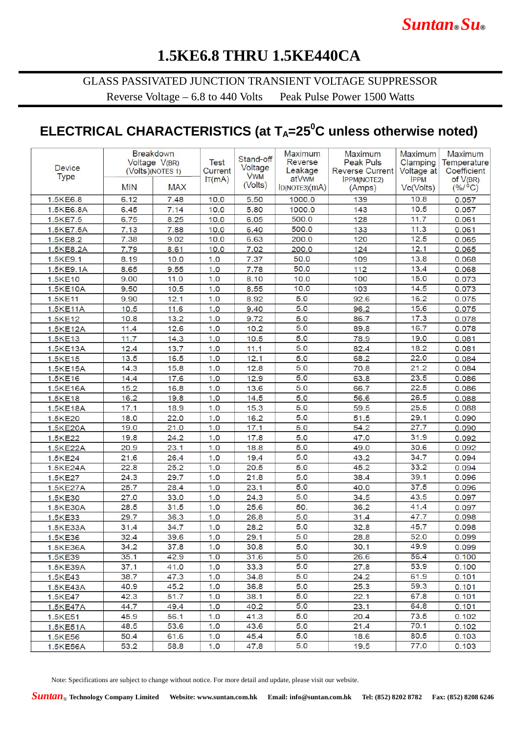# **1.5KE6.8 THRU 1.5KE440CA**

### GLASS PASSIVATED JUNCTION TRANSIENT VOLTAGE SUPPRESSOR

Reverse Voltage – 6.8 to 440 Volts Peak Pulse Power 1500 Watts

### **ELECTRICAL CHARACTERISTICS (at TA=25<sup>0</sup>C unless otherwise noted)**

| <b>Device</b><br><b>Type</b> |            | <b>Breakdown</b><br>Voltage V(BR)<br>(Volts)(NOTES 1) |        | Stand-off<br>Voltage<br><b>VWM</b> | Maximum<br>Reverse<br>Leakage | Maximum<br><b>Peak Puls</b><br><b>Reverse Current</b> | Maximum<br>Clamping<br>Voltage at<br><b>IPPM</b> | <b>Maximum</b><br>Temperature<br>Coefficient<br>of $V(BR)$ |
|------------------------------|------------|-------------------------------------------------------|--------|------------------------------------|-------------------------------|-------------------------------------------------------|--------------------------------------------------|------------------------------------------------------------|
|                              | <b>MIN</b> | <b>MAX</b>                                            | IT(mA) | (Volts)                            | atVwM<br>ID(NOTE3)(mA)        | <b>IPPM(NOTE2)</b><br>(Amps)                          | Vc(Volts)                                        | $(% / ^{\circ}C)$                                          |
| 1,5KE6.8                     | 6.12       | 7.48                                                  | 10.0   | 5.50                               | 1000.0                        | 139                                                   | 10.8                                             | 0.057                                                      |
| 1.5KE6.8A                    | 6.45       | 7.14                                                  | 10.0   | 5.80                               | 1000.0                        | 143                                                   | 10.5                                             | 0.057                                                      |
| 1.5KE7.5                     | 6.75       | 8.25                                                  | 10.0   | 6.05                               | 500.0                         | 128                                                   | 11.7                                             | 0.061                                                      |
| 1.5KE7.5A                    | 7.13       | 7.88                                                  | 10.0   | 6.40                               | 500.0                         | 133                                                   | 11.3                                             | 0.061                                                      |
| 1.5KE8.2                     | 7.38       | 9.02                                                  | 10.0   | 6.63                               | 200.0                         | 120                                                   | 12.5                                             | 0.065                                                      |
| 1.5KE8.2A                    | 7.79       | 8.61                                                  | 10.0   | 7.02                               | 200.0                         | 124                                                   | 12.1                                             | 0.065                                                      |
| 1.5KE9.1                     | 8.19       | 10.0                                                  | 1.0    | 7.37                               | 50.0                          | 109                                                   | 13.8                                             | 0.068                                                      |
| 1.5KE9.1A                    | 8.65       | 9.55                                                  | 1.0    | 7.78                               | 50.0                          | 112                                                   | 13.4                                             | 0.068                                                      |
| 1.5KE10                      | 9.00       | 11.0                                                  | 1.0    | 8.10                               | 10.0                          | 100                                                   | 15.0                                             | 0.073                                                      |
| 1.5KE10A                     | 9.50       | 10.5                                                  | 1.0    | 8.55                               | 10.0                          | 103                                                   | 14.5                                             | 0.073                                                      |
| 1.5KE11                      | 9.90       | 12.1                                                  | 1.0    | 8.92                               | 5.0                           | 92.6                                                  | 16.2                                             | 0.075                                                      |
| 1.5KE11A                     | 10.5       | 11.6                                                  | 1.0    | 9.40                               | 5.0                           | 96.2                                                  | 15.6                                             | 0.075                                                      |
| 1.5KE12                      | 10.8       | 13.2                                                  | 1.0    | 9.72                               | 5.0                           | 86.7                                                  | 17.3                                             | 0.078                                                      |
| 1.5KE12A                     | 11.4       | 12.6                                                  | 1.0    | 10.2                               | 5.0                           | 89.8                                                  | 16.7                                             | 0.078                                                      |
| 1.5KE13                      | 11.7       | 14.3                                                  | 1.0    | 10.5                               | 5.0                           | 78.9                                                  | 19.0                                             | 0.081                                                      |
| 1.5KE13A                     | 12.4       | 13.7                                                  | 1.0    | 11.1                               | 5.0                           | 82.4                                                  | 18.2                                             | 0.081                                                      |
| 1.5KE15                      | 13.5       | 16.5                                                  | 1.0    | 12.1                               | 5.0                           | 68.2                                                  | 22.0                                             | 0.084                                                      |
| 1.5KE15A                     | 14.3       | 15.8                                                  | 1.0    | 12.8                               | 5.0                           | 70.8                                                  | 21.2                                             | 0.084                                                      |
| 1.5KE16                      | 14.4       | 17.6                                                  | 1.0    | 12.9                               | 5.0                           | 63.8                                                  | 23.5                                             | 0.086                                                      |
| 1.5KE16A                     | 15.2       | 16.8                                                  | 1.0    | 13.6                               | 5.0                           | 66.7                                                  | 22.5                                             | 0.086                                                      |
| 1.5KE18                      | 16.2       | 19.8                                                  | 1.0    | 14.5                               | 5.0                           | 56.6                                                  | 26.5                                             | 0.088                                                      |
| 1.5KE18A                     | 17.1       | 18.9                                                  | 1.0    | 15.3                               | 5.0                           | 59.5                                                  | 25.5                                             | 0.088                                                      |
| 1.5KE20                      | 18.0       | 22.0                                                  | 1.0    | 16.2                               | 5.0                           | 51.5                                                  | 29.1                                             | 0.090                                                      |
| 1.5KE20A                     | 19.0       | 21.0                                                  | 1.0    | 17.1                               | 5.0                           | 54.2                                                  | 27.7                                             | 0.090                                                      |
| 1.5KE22                      | 19.8       | 24.2                                                  | 1.0    | 17.8                               | 5.0                           | 47.0                                                  | 31.9                                             | 0.092                                                      |
| 1.5KE22A                     | 20.9       | 23.1                                                  | 1.0    | 18.8                               | 5.0                           | 49.0                                                  | 30.6                                             | 0.092                                                      |
| 1.5KE24                      | 21.6       | 26.4                                                  | 1.0    | 19.4                               | 5.0                           | 43.2                                                  | 34.7                                             | 0.094                                                      |
| 1.5KE24A                     | 22.8       | 25.2                                                  | 1.0    | 20.5                               | 5.0                           | 45.2                                                  | 33.2                                             | 0.094                                                      |
| 1.5KE27                      | 24.3       | 29.7                                                  | 1.0    | 21.8                               | 5.0                           | 38.4                                                  | 39.1                                             | 0.096                                                      |
| 1.5KE27A                     | 25.7       | 28.4                                                  | 1.0    | 23.1                               | 5.0                           | 40.0                                                  | 37.5                                             | 0.096                                                      |
| 1.5KE30                      | 27.0       | 33.0                                                  | 1.0    | 24.3                               | 5.0                           | 34.5                                                  | 43.5                                             | 0.097                                                      |
| 1.5KE30A                     | 28.5       | 31.5                                                  | 1.0    | 25.6                               | 50.                           | 36.2                                                  | 41.4                                             | 0.097                                                      |
| 1.5KE33                      | 29.7       | 36.3                                                  | 1.0    | 26.8                               | 5.0                           | 31.4                                                  | 47.7                                             | 0.098                                                      |
| 1.5KE33A                     | 31.4       | 34.7                                                  | 1.0    | 28.2                               | 5.0                           | 32.8                                                  | 45.7                                             | 0.098                                                      |
| 1.5KE36                      | 32.4       | 39.6                                                  | 1.0    | 29.1                               | 5.0                           | 28.8                                                  | 52.0                                             | 0.099                                                      |
| 1.5KE36A                     | 34.2       | 37.8                                                  | 1.0    | 30.8                               | 5.0                           | 30.1                                                  | 49.9                                             | 0.099                                                      |
| 1.5KE39                      | 35.1       | 42.9                                                  | 1.0    | 31.6                               | 5.0                           | 26.6                                                  | 56.4                                             | 0.100                                                      |
| 1.5KE39A                     | 37.1       | 41.0                                                  | 1.0    | 33.3                               | 5.0                           | 27.8                                                  | 53.9                                             | 0.100                                                      |
| 1.5KE43                      | 38.7       | 47.3                                                  | 1.0    | 34.8                               | 5.0                           | 24.2                                                  | 61.9                                             | 0.101                                                      |
| 1.5KE43A                     | 40.9       | 45.2                                                  | 1.0    | 36.8                               | 5.0                           | 25.3                                                  | 59.3                                             | 0.101                                                      |
| 1.5KE47                      | 42.3       | 51.7                                                  | 1.0    | 38.1                               | 5.0                           | 22.1                                                  | 67.8                                             | 0.101                                                      |
| 1.5KE47A                     | 44.7       | 49.4                                                  | 1.0    | 40.2                               | 5.0                           | 23.1                                                  | 64.8                                             | 0.101                                                      |
| 1.5KE51                      | 45.9       | 56.1                                                  | 1.0    | 41.3                               | 5.0                           | 20.4                                                  | 73.5                                             | 0.102                                                      |
| 1.5KE51A                     | 48.5       | 53.6                                                  | 1.0    | 43.6                               | 5.0                           | 21.4                                                  | 70.1                                             | 0.102                                                      |
| 1.5KE56                      | 50.4       | 61.6                                                  | 1.0    | 45.4                               | 5.0                           | 18.6                                                  | 80.5                                             | 0.103                                                      |
| 1.5KE56A                     | 53.2       | 58.8                                                  | 1.0    | 47.8                               | 5.0                           | 19.5                                                  | 77.0                                             | 0.103                                                      |

Note: Specifications are subject to change without notice. For more detail and update, please visit our website.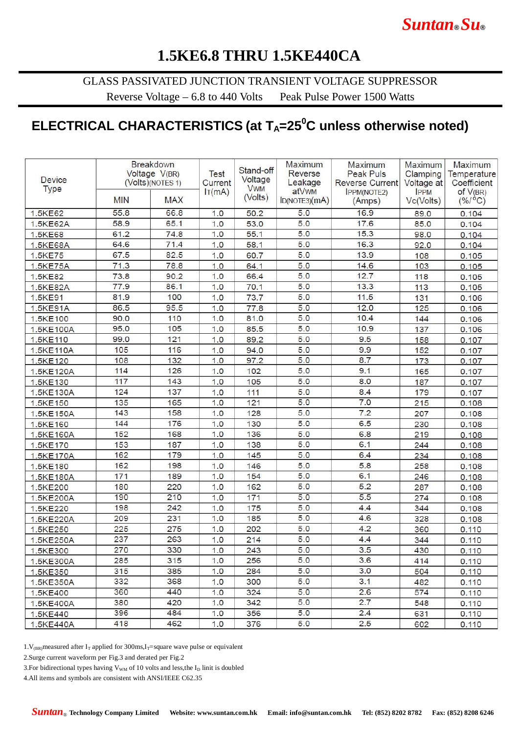# **1.5KE6.8 THRU 1.5KE440CA**

GLASS PASSIVATED JUNCTION TRANSIENT VOLTAGE SUPPRESSOR

Reverse Voltage – 6.8 to 440 Volts Peak Pulse Power 1500 Watts

# **ELECTRICAL CHARACTERISTICS (at TA=25<sup>0</sup>C unless otherwise noted)**

| <b>Device</b><br>Type | Breakdown<br>Voltage V(BR)<br>(Volts)(NOTES 1) |            | <b>Test</b><br>Current | Stand-off<br>Voltage<br><b>VWM</b> | Maximum<br>Reverse<br>Leakage | Maximum<br>Peak Puls<br><b>Reverse Current</b> | Maximum<br>Clamping<br>Voltage at | Maximum<br>Temperature<br>Coefficient |
|-----------------------|------------------------------------------------|------------|------------------------|------------------------------------|-------------------------------|------------------------------------------------|-----------------------------------|---------------------------------------|
|                       | <b>MIN</b>                                     | <b>MAX</b> | IT(mA)                 | (Volts)                            | atVwM<br>ID(NOTE3)(mA)        | <b>IPPM(NOTE2)</b><br>(Amps)                   | <b>IPPM</b><br>Vc(Volts)          | of V(BR)<br>$(^{0}/_{0}/^{0}C)$       |
| 1.5KE62               | 55.8                                           | 66.8       | 1.0                    | 50.2                               | 5.0                           | 16.9                                           | 89.0                              | 0.104                                 |
| 1.5KE62A              | 58.9                                           | 65.1       | 1.0                    | 53.0                               | 5.0                           | 17.6                                           | 85.0                              | 0.104                                 |
| 1.5KE68               | 61.2                                           | 74.8       | 1.0                    | 55.1                               | 5.0                           | 15.3                                           | 98.0                              | 0.104                                 |
| 1.5KE68A              | 64.6                                           | 71.4       | 1.0                    | 58.1                               | 5.0                           | 16.3                                           | 92.0                              | 0.104                                 |
| 1.5KE75               | 67.5                                           | 82.5       | 1.0                    | 60.7                               | 5.0                           | 13.9                                           | 108                               | 0.105                                 |
| 1.5KE75A              | 71.3                                           | 78.8       | 1.0                    | 64.1                               | 5.0                           | 14.6                                           | 103                               | 0.105                                 |
| 1.5KE82               | 73.8                                           | 90.2       | 1.0                    | 66.4                               | 5.0                           | 12.7                                           | 118                               | 0.105                                 |
| 1.5KE82A              | 77.9                                           | 86.1       | 1.0                    | 70.1                               | 5.0                           | 13.3                                           | 113                               | 0.105                                 |
| 1.5KE91               | 81.9                                           | 100        | 1.0                    | 73.7                               | 5.0                           | 11.5                                           | 131                               | 0.106                                 |
| 1.5KE91A              | 86.5                                           | 95.5       | 1.0                    | 77.8                               | 5.0                           | 12.0                                           | 125                               | 0.106                                 |
| 1.5KE100              | 90.0                                           | 110        | 1.0                    | 81.0                               | 5.0                           | 10.4                                           | 144                               | 0.106                                 |
| 1.5KE100A             | 95.0                                           | 105        | 1.0                    | 85.5                               | 5.0                           | 10.9                                           | 137                               | 0.106                                 |
| 1.5KE110              | 99.0                                           | 121        | 1.0                    | 89.2                               | 5.0                           | 9.5                                            | 158                               | 0.107                                 |
| 1.5KE110A             | 105                                            | 116        | 1.0                    | 94.0                               | 5.0                           | 9.9                                            | 152                               | 0.107                                 |
| 1.5KE120              | 108                                            | 132        | 1.0                    | 97.2                               | 5.0                           | 8.7                                            | 173                               | 0.107                                 |
| 1.5KE120A             | 114                                            | 126        | 1.0                    | 102                                | 5.0                           | 9.1                                            | 165                               | 0.107                                 |
| 1.5KE130              | 117                                            | 143        | 1.0                    | 105                                | 5.0                           | 8.0                                            | 187                               | 0.107                                 |
| 1.5KE130A             | 124                                            | 137        | 1.0                    | 111                                | 5.0                           | 8.4                                            | 179                               | 0.107                                 |
| 1.5KE150              | 135                                            | 165        | 1.0                    | 121                                | 5.0                           | 7.0                                            | 215                               | 0.108                                 |
| 1.5KE150A             | 143                                            | 158        | 1.0                    | 128                                | 5.0                           | 7.2                                            | 207                               | 0.108                                 |
| 1.5KE160              | 144                                            | 176        | 1.0                    | 130                                | 5.0                           | 6.5                                            | 230                               | 0.108                                 |
| 1.5KE160A             | 152                                            | 168        | 1.0                    | 136                                | 5.0                           | 6.8                                            | 219                               | 0.108                                 |
| 1.5KE170              | 153                                            | 187        | 1.0                    | 138                                | 5.0                           | 6.1                                            | 244                               | 0.108                                 |
| 1.5KE170A             | 162                                            | 179        | 1.0                    | 145                                | 5.0                           | 6.4                                            | 234                               | 0.108                                 |
| 1.5KE180              | 162                                            | 198        | 1.0                    | 146                                | 5.0                           | 5.8                                            | 258                               | 0.108                                 |
| 1.5KE180A             | 171                                            | 189        | 1.0                    | 154                                | 5.0                           | 6.1                                            | 246                               | 0.108                                 |
| 1.5KE200              | 180                                            | 220        | 1.0                    | 162                                | 5.0                           | 5.2                                            | 287                               | 0.108                                 |
| 1.5KE200A             | 190                                            | 210        | 1.0                    | 171                                | 5.0                           | 5.5                                            | 274                               | 0.108                                 |
| 1.5KE220              | 198                                            | 242        | 1.0                    | 175                                | 5.0                           | 4.4                                            | 344                               | 0.108                                 |
| 1.5KE220A             | 209                                            | 231        | 1.0                    | 185                                | 5.0                           | 4.6                                            | 328                               | 0.108                                 |
| 1.5KE250              | 225                                            | 275        | 1.0                    | 202                                | 5.0                           | 4.2                                            | 360                               | 0.110                                 |
| 1.5KE250A             | 237                                            | 263        | 1.0                    | 214                                | 5.0                           | 4.4                                            | 344                               | 0.110                                 |
| 1.5KE300              | 270                                            | 330        | 1.0                    | 243                                | 5.0                           | 3.5                                            | 430                               | 0.110                                 |
| 1.5KE300A             | 285                                            | 315        | 1.0                    | 256                                | 5.0                           | 3.6                                            | 414                               | 0.110                                 |
| 1.5KE350              | 315                                            | 385        | 1.0                    | 284                                | 5.0                           | 3.0                                            | 504                               | 0.110                                 |
| 1.5KE350A             | 332                                            | 368        | 1.0                    | 300                                | 5.0                           | 3.1                                            | 482                               | 0.110                                 |
| 1.5KE400              | 360                                            | 440        | 1.0                    | 324                                | 5.0                           | 2.6                                            | 574                               | 0.110                                 |
| 1.5KE400A             | 380                                            | 420        | 1.0                    | 342                                | 5.0                           | 2.7                                            | 548                               | 0.110                                 |
| 1.5KE440              | 396                                            | 484        | 1.0                    | 356                                | 5.0                           | 2.4                                            | 631                               | 0.110                                 |
| 1.5KE440A             | 418                                            | 462        | 1.0                    | 376                                | 5.0                           | 2.5                                            | 602                               | 0.110                                 |

1. V<sub>(BR)</sub> measured after I<sub>T</sub> applied for 300ms, I<sub>T</sub>=square wave pulse or equivalent

2.Surge current waveform per Fig.3 and derated per Fig.2

3. For bidirectional types having  $V_{WM}$  of 10 volts and less, the I<sub>D</sub> linit is doubled

4.All items and symbols are consistent with ANSI/IEEE C62.35